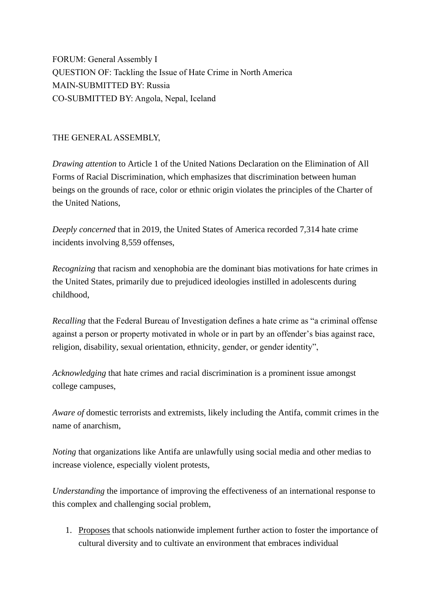FORUM: General Assembly I QUESTION OF: Tackling the Issue of Hate Crime in North America MAIN-SUBMITTED BY: Russia CO-SUBMITTED BY: Angola, Nepal, Iceland

THE GENERAL ASSEMBLY,

*Drawing attention* to Article 1 of the United Nations Declaration on the Elimination of All Forms of Racial Discrimination, which emphasizes that discrimination between human beings on the grounds of race, color or ethnic origin violates the principles of the Charter of the United Nations,

*Deeply concerned* that in 2019, the United States of America recorded 7,314 hate crime incidents involving 8,559 offenses,

*Recognizing* that racism and xenophobia are the dominant bias motivations for hate crimes in the United States, primarily due to prejudiced ideologies instilled in adolescents during childhood,

*Recalling* that the Federal Bureau of Investigation defines a hate crime as "a criminal offense against a person or property motivated in whole or in part by an offender's bias against race, religion, disability, sexual orientation, ethnicity, gender, or gender identity",

*Acknowledging* that hate crimes and racial discrimination is a prominent issue amongst college campuses,

*Aware of* domestic terrorists and extremists, likely including the Antifa, commit crimes in the name of anarchism,

*Noting* that organizations like Antifa are unlawfully using social media and other medias to increase violence, especially violent protests,

*Understanding* the importance of improving the effectiveness of an international response to this complex and challenging social problem,

1. Proposes that schools nationwide implement further action to foster the importance of cultural diversity and to cultivate an environment that embraces individual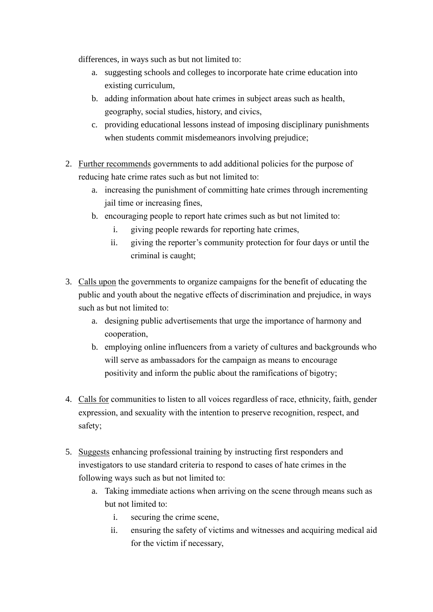differences, in ways such as but not limited to:

- a. suggesting schools and colleges to incorporate hate crime education into existing curriculum,
- b. adding information about hate crimes in subject areas such as health, geography, social studies, history, and civics,
- c. providing educational lessons instead of imposing disciplinary punishments when students commit misdemeanors involving prejudice;
- 2. Further recommends governments to add additional policies for the purpose of reducing hate crime rates such as but not limited to:
	- a. increasing the punishment of committing hate crimes through incrementing jail time or increasing fines,
	- b. encouraging people to report hate crimes such as but not limited to:
		- i. giving people rewards for reporting hate crimes,
		- ii. giving the reporter's community protection for four days or until the criminal is caught;
- 3. Calls upon the governments to organize campaigns for the benefit of educating the public and youth about the negative effects of discrimination and prejudice, in ways such as but not limited to:
	- a. designing public advertisements that urge the importance of harmony and cooperation,
	- b. employing online influencers from a variety of cultures and backgrounds who will serve as ambassadors for the campaign as means to encourage positivity and inform the public about the ramifications of bigotry;
- 4. Calls for communities to listen to all voices regardless of race, ethnicity, faith, gender expression, and sexuality with the intention to preserve recognition, respect, and safety;
- 5. Suggests enhancing professional training by instructing first responders and investigators to use standard criteria to respond to cases of hate crimes in the following ways such as but not limited to:
	- a. Taking immediate actions when arriving on the scene through means such as but not limited to:
		- i. securing the crime scene,
		- ii. ensuring the safety of victims and witnesses and acquiring medical aid for the victim if necessary,